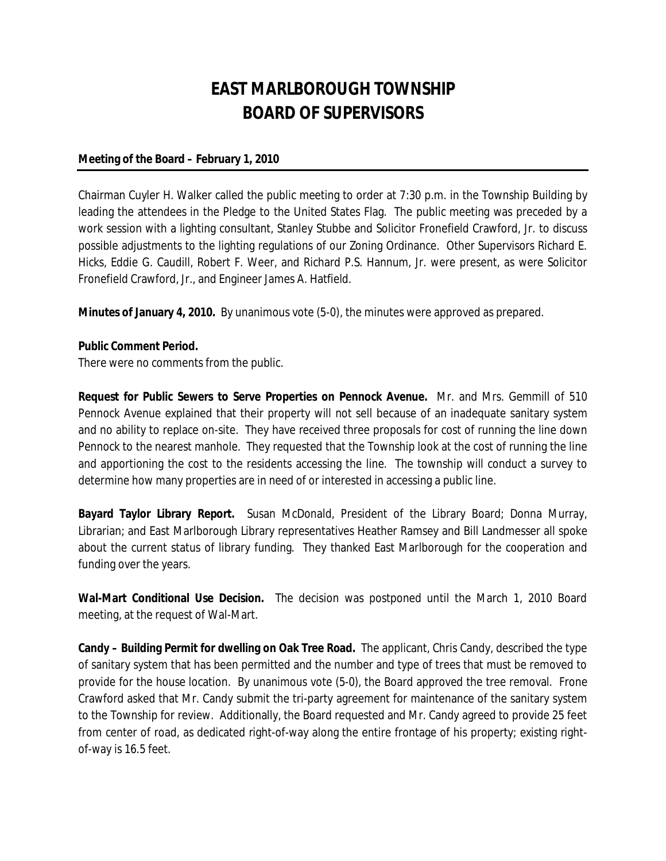## **EAST MARLBOROUGH TOWNSHIP BOARD OF SUPERVISORS**

## **Meeting of the Board – February 1, 2010**

Chairman Cuyler H. Walker called the public meeting to order at 7:30 p.m. in the Township Building by leading the attendees in the Pledge to the United States Flag. The public meeting was preceded by a work session with a lighting consultant, Stanley Stubbe and Solicitor Fronefield Crawford, Jr. to discuss possible adjustments to the lighting regulations of our Zoning Ordinance. Other Supervisors Richard E. Hicks, Eddie G. Caudill, Robert F. Weer, and Richard P.S. Hannum, Jr. were present, as were Solicitor Fronefield Crawford, Jr., and Engineer James A. Hatfield.

**Minutes of January 4, 2010.** By unanimous vote (5-0), the minutes were approved as prepared.

## **Public Comment Period.**

There were no comments from the public.

**Request for Public Sewers to Serve Properties on Pennock Avenue.** Mr. and Mrs. Gemmill of 510 Pennock Avenue explained that their property will not sell because of an inadequate sanitary system and no ability to replace on-site. They have received three proposals for cost of running the line down Pennock to the nearest manhole. They requested that the Township look at the cost of running the line and apportioning the cost to the residents accessing the line. The township will conduct a survey to determine how many properties are in need of or interested in accessing a public line.

**Bayard Taylor Library Report.** Susan McDonald, President of the Library Board; Donna Murray, Librarian; and East Marlborough Library representatives Heather Ramsey and Bill Landmesser all spoke about the current status of library funding. They thanked East Marlborough for the cooperation and funding over the years.

**Wal-Mart Conditional Use Decision.** The decision was postponed until the March 1, 2010 Board meeting, at the request of Wal-Mart.

**Candy – Building Permit for dwelling on Oak Tree Road.** The applicant, Chris Candy, described the type of sanitary system that has been permitted and the number and type of trees that must be removed to provide for the house location. By unanimous vote (5-0), the Board approved the tree removal. Frone Crawford asked that Mr. Candy submit the tri-party agreement for maintenance of the sanitary system to the Township for review. Additionally, the Board requested and Mr. Candy agreed to provide 25 feet from center of road, as dedicated right-of-way along the entire frontage of his property; existing rightof-way is 16.5 feet.